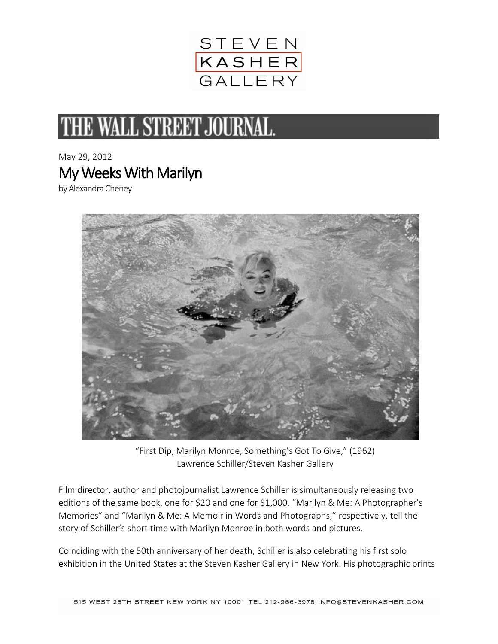

# THE WALL STREET JOURNAL.

May 29, 2012 My Weeks With Marilyn

by Alexandra Cheney



"First Dip, Marilyn Monroe, Something's Got To Give," (1962) Lawrence Schiller/Steven Kasher Gallery

Film director, author and photojournalist Lawrence Schiller is simultaneously releasing two editions of the same book, one for \$20 and one for \$1,000. "Marilyn & Me: A Photographer's Memories" and "Marilyn & Me: A Memoir in Words and Photographs," respectively, tell the story of Schiller's short time with Marilyn Monroe in both words and pictures.

Coinciding with the 50th anniversary of her death, Schiller is also celebrating his first solo exhibition in the United States at the Steven Kasher Gallery in New York. His photographic prints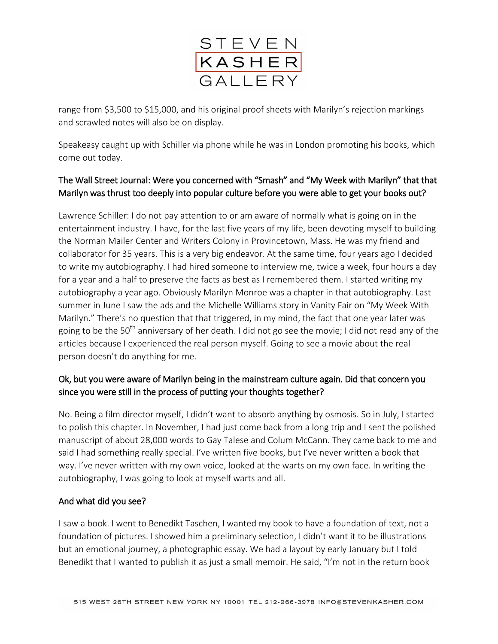

range from \$3,500 to \$15,000, and his original proof sheets with Marilyn's rejection markings and scrawled notes will also be on display.

Speakeasy caught up with Schiller via phone while he was in London promoting his books, which come out today.

# The Wall Street Journal: Were you concerned with "Smash" and "My Week with Marilyn" that that Marilyn was thrust too deeply into popular culture before you were able to get your books out?

Lawrence Schiller: I do not pay attention to or am aware of normally what is going on in the entertainment industry. I have, for the last five years of my life, been devoting myself to building the Norman Mailer Center and Writers Colony in Provincetown, Mass. He was my friend and collaborator for 35 years. This is a very big endeavor. At the same time, four years ago I decided to write my autobiography. I had hired someone to interview me, twice a week, four hours a day for a year and a half to preserve the facts as best as I remembered them. I started writing my autobiography a year ago. Obviously Marilyn Monroe was a chapter in that autobiography. Last summer in June I saw the ads and the Michelle Williams story in Vanity Fair on "My Week With Marilyn." There's no question that that triggered, in my mind, the fact that one year later was going to be the 50<sup>th</sup> anniversary of her death. I did not go see the movie; I did not read any of the articles because I experienced the real person myself. Going to see a movie about the real person doesn't do anything for me.

# Ok, but you were aware of Marilyn being in the mainstream culture again. Did that concern you since you were still in the process of putting your thoughts together?

No. Being a film director myself, I didn't want to absorb anything by osmosis. So in July, I started to polish this chapter. In November, I had just come back from a long trip and I sent the polished manuscript of about 28,000 words to Gay Talese and Colum McCann. They came back to me and said I had something really special. I've written five books, but I've never written a book that way. I've never written with my own voice, looked at the warts on my own face. In writing the autobiography, I was going to look at myself warts and all.

# And what did you see?

I saw a book. I went to Benedikt Taschen, I wanted my book to have a foundation of text, not a foundation of pictures. I showed him a preliminary selection, I didn't want it to be illustrations but an emotional journey, a photographic essay. We had a layout by early January but I told Benedikt that I wanted to publish it as just a small memoir. He said, "I'm not in the return book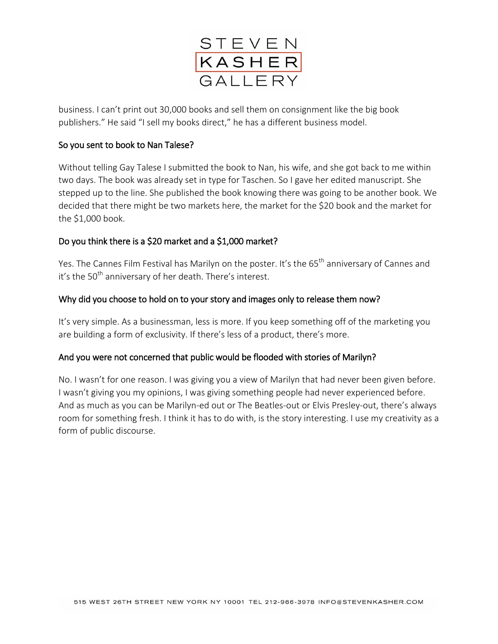

business. I can't print out 30,000 books and sell them on consignment like the big book publishers." He said "I sell my books direct," he has a different business model.

#### So you sent to book to Nan Talese?

Without telling Gay Talese I submitted the book to Nan, his wife, and she got back to me within two days. The book was already set in type for Taschen. So I gave her edited manuscript. She stepped up to the line. She published the book knowing there was going to be another book. We decided that there might be two markets here, the market for the \$20 book and the market for the \$1,000 book.

# Do you think there is a \$20 market and a \$1,000 market?

Yes. The Cannes Film Festival has Marilyn on the poster. It's the 65<sup>th</sup> anniversary of Cannes and it's the 50<sup>th</sup> anniversary of her death. There's interest.

# Why did you choose to hold on to your story and images only to release them now?

It's very simple. As a businessman, less is more. If you keep something off of the marketing you are building a form of exclusivity. If there's less of a product, there's more.

# And you were not concerned that public would be flooded with stories of Marilyn?

No. I wasn't for one reason. I was giving you a view of Marilyn that had never been given before. I wasn't giving you my opinions, I was giving something people had never experienced before. And as much as you can be Marilyn-ed out or The Beatles-out or Elvis Presley-out, there's always room for something fresh. I think it has to do with, is the story interesting. I use my creativity as a form of public discourse.